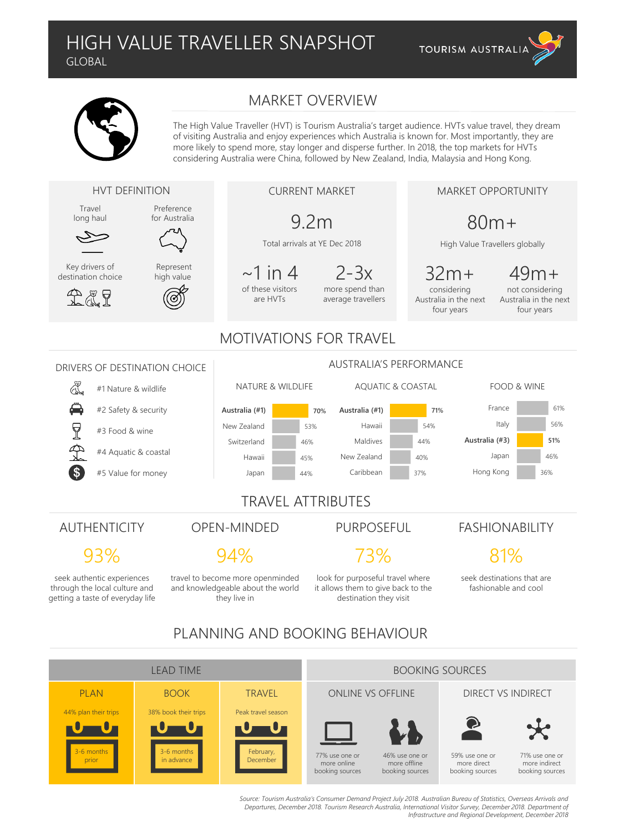**TOURISM AUSTRALIA** 

### MARKET OVERVIEW

The High Value Traveller (HVT) is Tourism Australia's target audience. HVTs value travel, they dream of visiting Australia and enjoy experiences which Australia is known for. Most importantly, they are more likely to spend more, stay longer and disperse further. In 2018, the top markets for HVTs considering Australia were China, followed by New Zealand, India, Malaysia and Hong Kong.



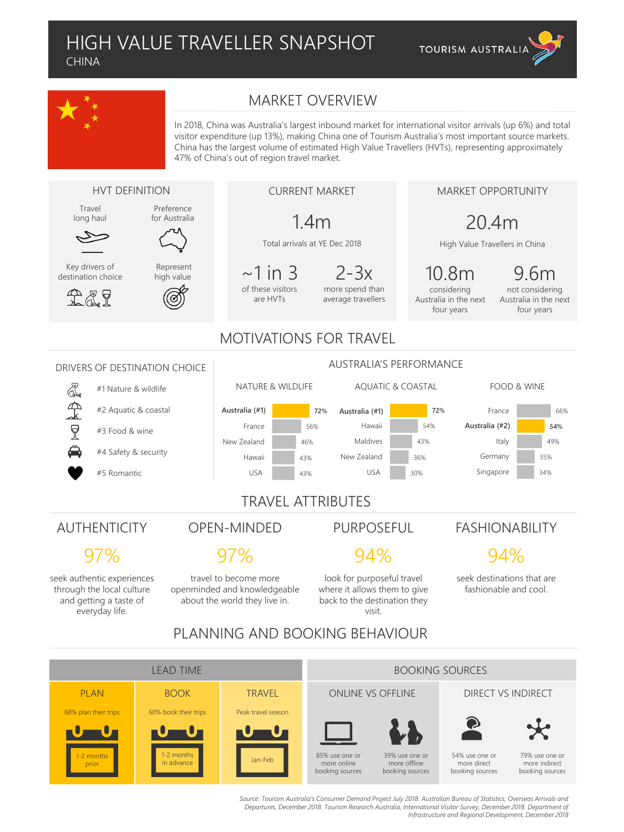



60% plan their trips

60% book their trips

Peak travel season

Jan-Feb 85% use one or

more online booking sources

1-2 months in advance

1-2 months prior

#### MARKET OVERVIEW

In 2018, China was Australia's largest inbound market for international visitor arrivals (up 6%) and total visitor expenditure (up 13%), making China one of Tourism Australia's most important source markets. China has the largest volume of estimated High Value Travellers (HVTs), representing approximately 47% of China's out of region travel market.



54% use one or more direct booking sources





79% use one or

more indirect booking sources

Source: Tourism Australia's Consumer Demand Project July 2018. Australian Bureau of Statistics, Overseas Arrivals and *Departures, December 2018. Tourism Research Australia, International Visitor Survey, December 2018. Department of Infrastructure and Regional Development, December 2018*

39% use one or more offline booking sources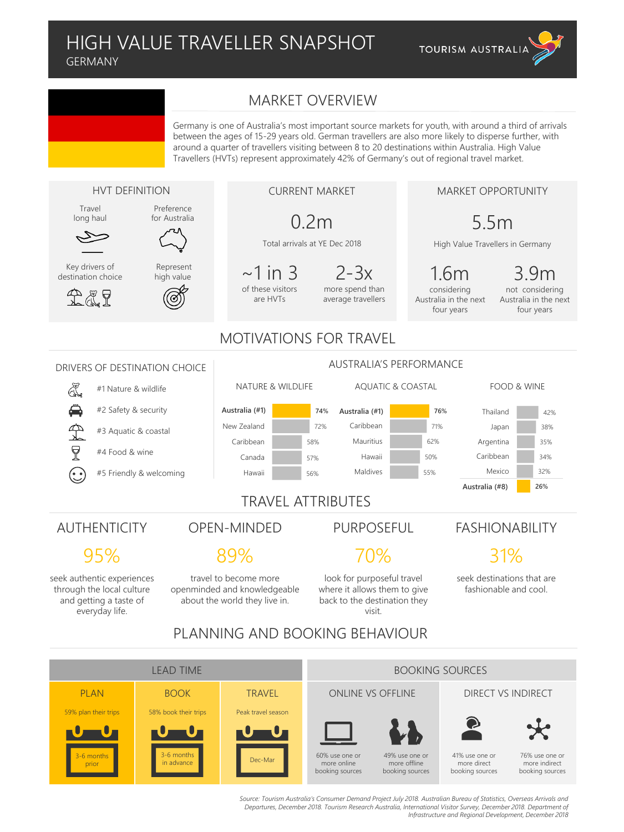#### HIGH VALUE TRAVELLER SNAPSHOT GERMANY



#### MARKET OVERVIEW

Germany is one of Australia's most important source markets for youth, with around a third of arrivals between the ages of 15-29 years old. German travellers are also more likely to disperse further, with around a quarter of travellers visiting between 8 to 20 destinations within Australia. High Value Travellers (HVTs) represent approximately 42% of Germany's out of regional travel market.



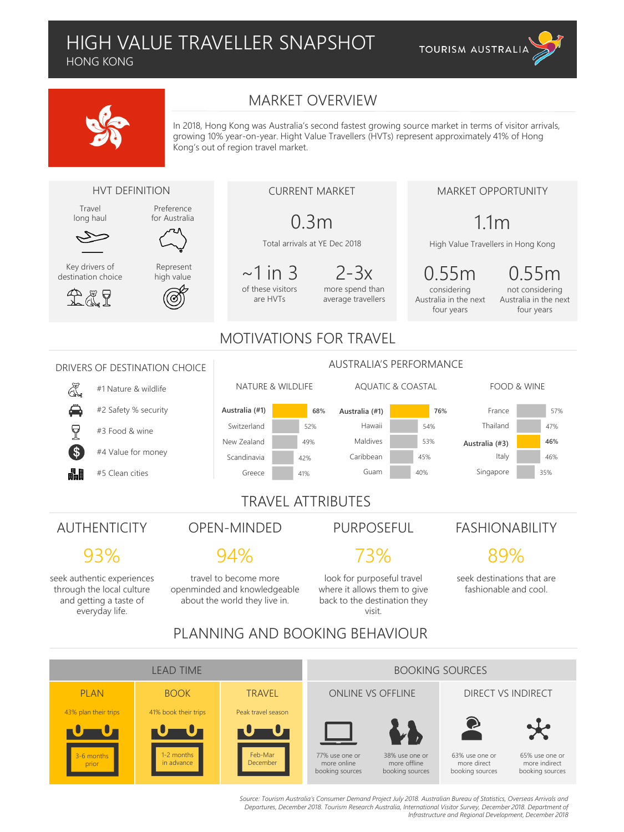HONG KONG

43% plan their trips

41% book their trips

1-2 months in advance

3-6 months prior





In 2018, Hong Kong was Australia's second fastest growing source market in terms of visitor arrivals, growing 10% year-on-year. Hight Value Travellers (HVTs) represent approximately 41% of Hong Kong's out of region travel market.



PLAN BOOK TRAVEL ONLINE VS OFFLINE DIRECT VS INDIRECT

77% use one or more online booking sources

Peak travel season

Feb-Mar December

Source: Tourism Australia's Consumer Demand Project July 2018. Australian Bureau of Statistics, Overseas Arrivals and *Departures, December 2018. Tourism Research Australia, International Visitor Survey, December 2018. Department of Infrastructure and Regional Development, December 2018*

38% use one or more offline booking sources 63% use one or more direct booking sources

65% use one or more indirect booking sources

57%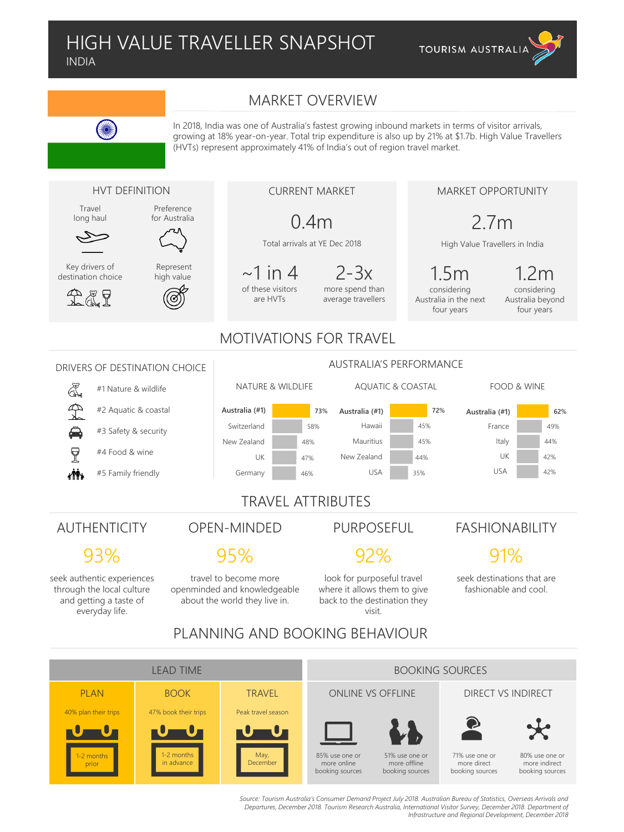

MARKET OPPORTUNITY

2.7m

High Value Travellers in India



In 2018, India was one of Australia's fastest growing inbound markets in terms of visitor arrivals, growing at 18% year-on-year. Total trip expenditure is also up by 21% at \$1.7b. High Value Travellers (HVTs) represent approximately 41% of India's out of region travel market.

#### HVT DEFINITION

Travel long haul

**SANK** 



Key drivers of destination choice



Represent high value

Preference for Australia

### CURRENT MARKET

## 0.4m

Total arrivals at YE Dec 2018

 $\sim$ 1 in 4 of these visitors are HVTs

2-3x more spend than average travellers

1.5m considering Australia in the next four years

1.2m

considering Australia beyond four years

#### MOTIVATIONS FOR TRAVEL

#### AUSTRALIA'S PERFORMANCE DRIVERS OF DESTINATION CHOICE NATURE & WILDLIFE AQUATIC & COASTAL FOOD & WINE #1 Nature & wildlife #2 Aquatic & coastal Australia (#1) **72%** Australia **Australia (#1) Australia (#1) Australia (#1) 73%** Australia (#1) **62%** Switzerland 58% Hawaii 45% France 49% #3 Safety & security New Zealand Mauritius Italy 48% 45% 44%  $\overline{P}$ #4 Food & wine New Zealand UK 47% 44% UK 42% USA USA 42% iŃ. #5 Family friendly Germany 35% 46% TRAVEL ATTRIBUTES AUTHENTICITY OPEN-MINDED PURPOSEFUL FASHIONABILITY 93% 95% 92% 91% seek authentic experiences travel to become more look for purposeful travel seek destinations that are through the local culture openminded and knowledgeable where it allows them to give fashionable and cool. and getting a taste of about the world they live in. back to the destination they everyday life. visit. PLANNING AND BOOKING BEHAVIOUR

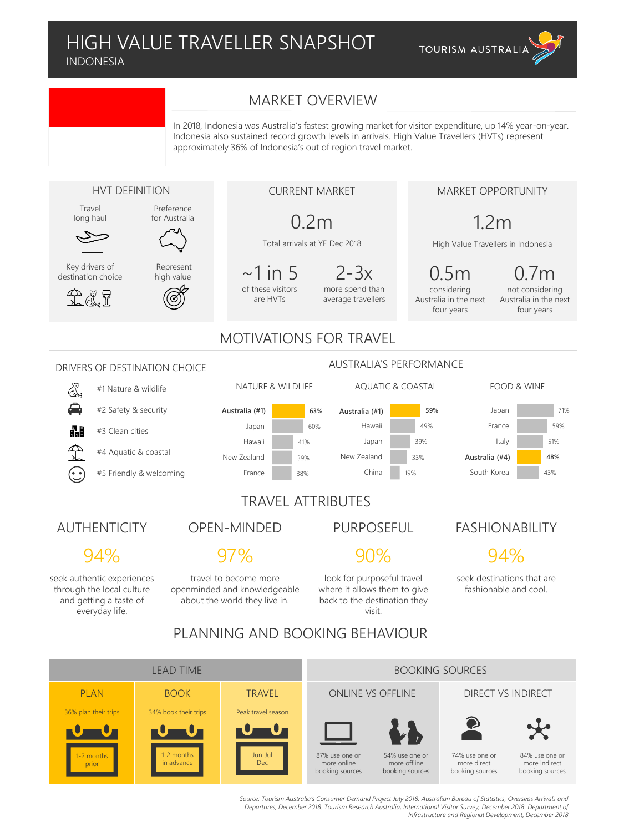#### HIGH VALUE TRAVELLER SNAPSHOT INDONESIA

**TOURISM AUSTRALIA** 

#### MARKET OVERVIEW

In 2018, Indonesia was Australia's fastest growing market for visitor expenditure, up 14% year-on-year. Indonesia also sustained record growth levels in arrivals. High Value Travellers (HVTs) represent approximately 36% of Indonesia's out of region travel market.



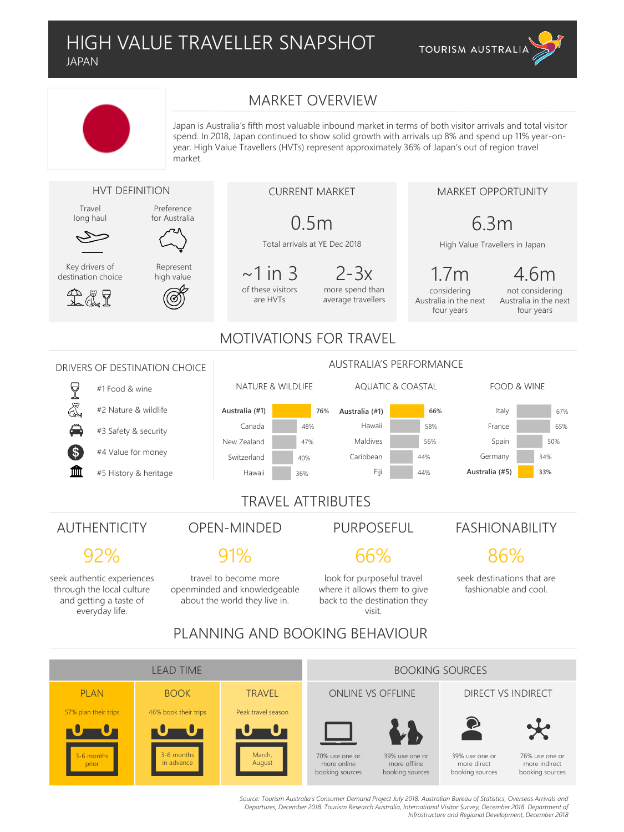

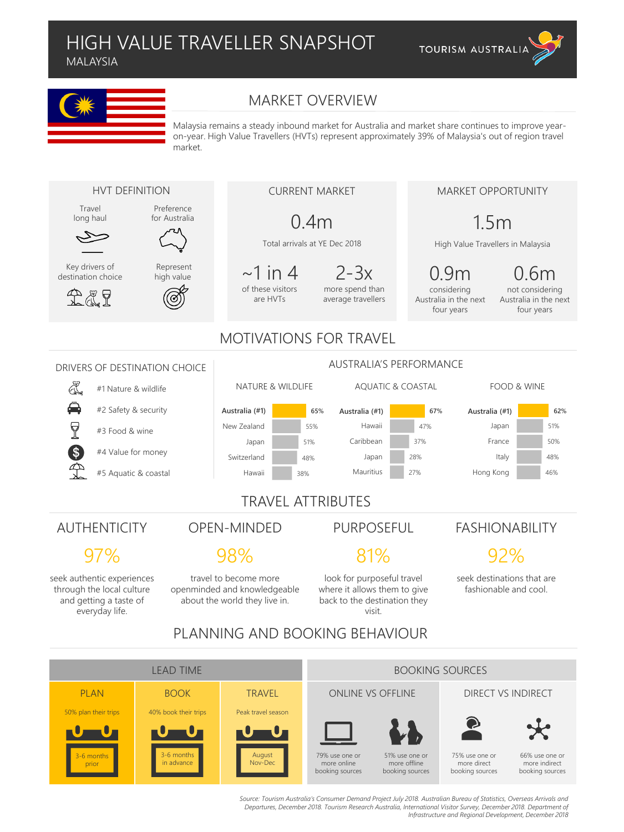MALAYSIA

3-6 months prior

3-6 months in advance

August Nov-Dec

79% use one or more online booking sources





### MARKET OVERVIEW

Malaysia remains a steady inbound market for Australia and market share continues to improve yearon-year. High Value Travellers (HVTs) represent approximately 39% of Malaysia's out of region travel market.



51% use one or more offline booking sources 75% use one or more direct booking sources

66% use one or more indirect booking sources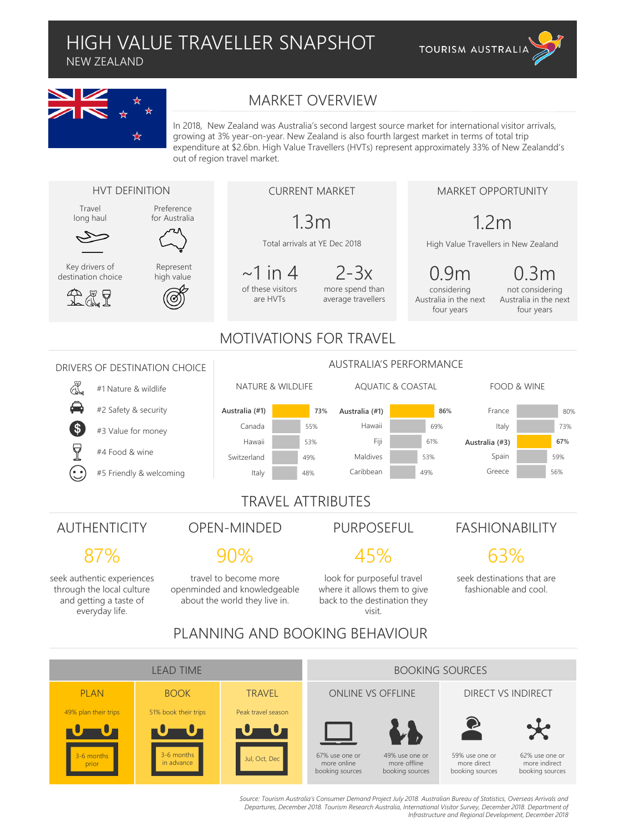NEW ZEALAND



49% plan their trips

51% book their trips

Peak travel season

 $\mathsf{u}$ l, Oct, Dec  $\blacksquare$  67% use one or

more online booking sources

3-6 months in advance

3-6 months prior

### MARKET OVERVIEW

In 2018, New Zealand was Australia's second largest source market for international visitor arrivals, growing at 3% year-on-year. New Zealand is also fourth largest market in terms of total trip expenditure at \$2.6bn. High Value Travellers (HVTs) represent approximately 33% of New Zealandd's out of region travel market.

**TOURISM AUSTRALIA** 



59% use one or more direct booking sources





62% use one or

more indirect booking sources

Source: Tourism Australia's Consumer Demand Project July 2018. Australian Bureau of Statistics, Overseas Arrivals and *Departures, December 2018. Tourism Research Australia, International Visitor Survey, December 2018. Department of Infrastructure and Regional Development, December 2018*

49% use one or more offline booking sources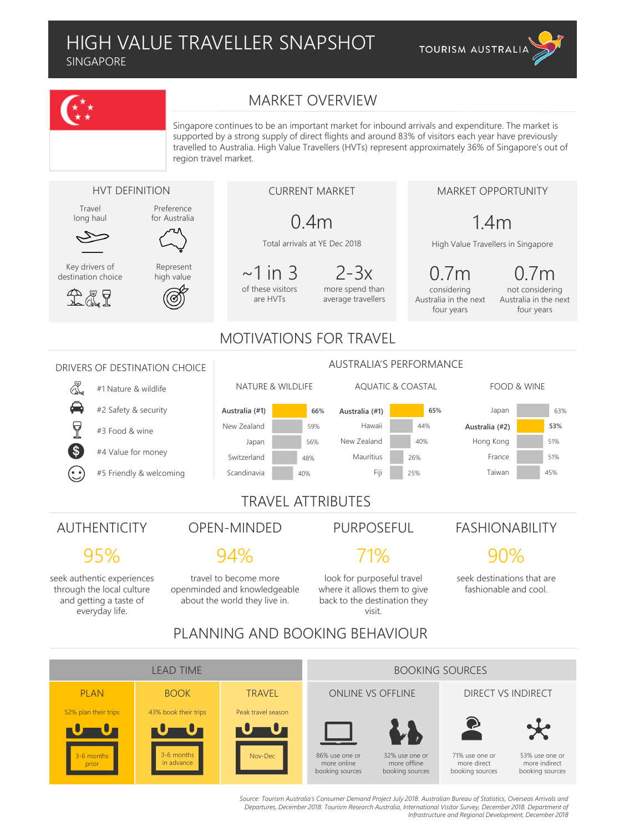SINGAPORE

3-6 months prior

3-6 months in advance





Nov-Dec **1** 86% use one or

more online booking sources

Source: Tourism Australia's Consumer Demand Project July 2018. Australian Bureau of Statistics, Overseas Arrivals and *Departures, December 2018. Tourism Research Australia, International Visitor Survey, December 2018. Department of Infrastructure and Regional Development, December 2018*

32% use one or more offline booking sources 71% use one or more direct booking sources

53% use one or more indirect booking sources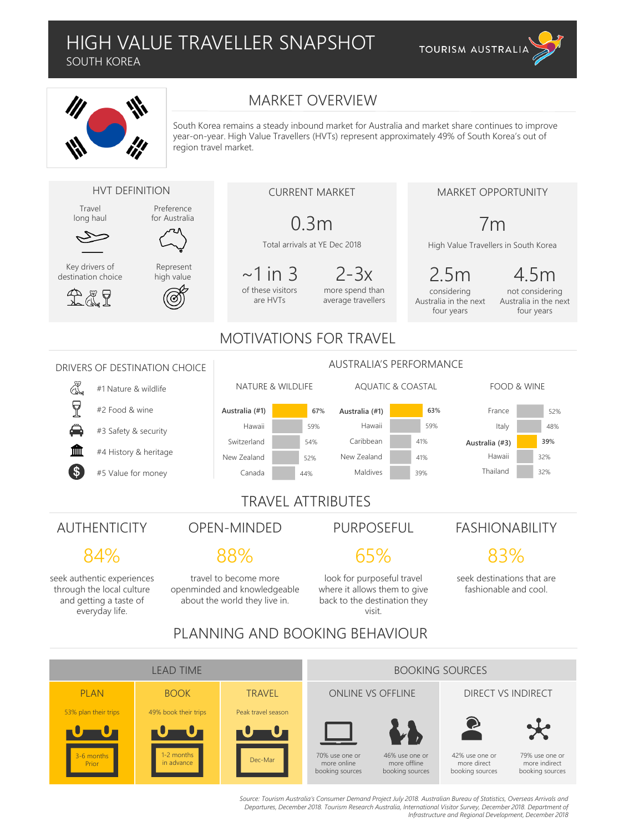SOUTH KOREA





53% plan their trips

49% book their trips

Peak travel season

Dec-Mar 70% use one or

more online booking sources

1-2 months in advance

3-6 months Prior

### MARKET OVERVIEW

South Korea remains a steady inbound market for Australia and market share continues to improve year-on-year. High Value Travellers (HVTs) represent approximately 49% of South Korea's out of region travel market.



Source: Tourism Australia's Consumer Demand Project July 2018. Australian Bureau of Statistics, Overseas Arrivals and *Departures, December 2018. Tourism Research Australia, International Visitor Survey, December 2018. Department of Infrastructure and Regional Development, December 2018*

42% use one or more direct booking sources

79% use one or more indirect booking sources

46% use one or more offline booking sources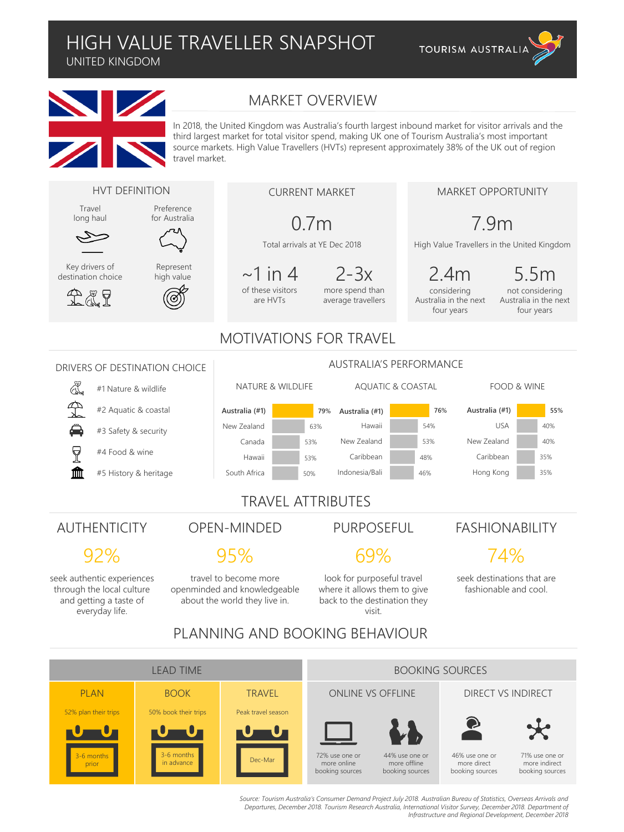UNITED KINGDOM



#### MARKET OVERVIEW

In 2018, the United Kingdom was Australia's fourth largest inbound market for visitor arrivals and the third largest market for total visitor spend, making UK one of Tourism Australia's most important source markets. High Value Travellers (HVTs) represent approximately 38% of the UK out of region travel market.

**TOURISM AUSTRALIA**